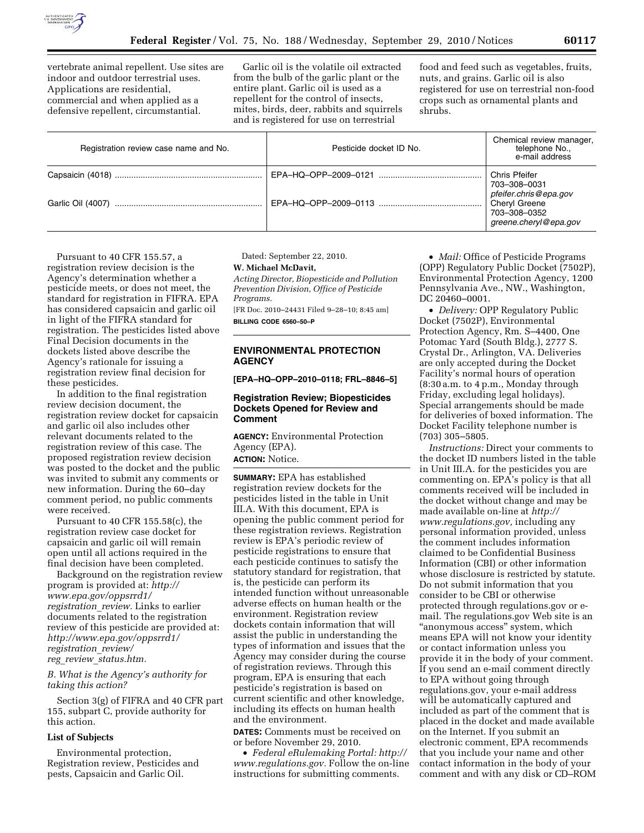

vertebrate animal repellent. Use sites are indoor and outdoor terrestrial uses. Applications are residential, commercial and when applied as a defensive repellent, circumstantial.

Garlic oil is the volatile oil extracted from the bulb of the garlic plant or the entire plant. Garlic oil is used as a repellent for the control of insects, mites, birds, deer, rabbits and squirrels and is registered for use on terrestrial

food and feed such as vegetables, fruits, nuts, and grains. Garlic oil is also registered for use on terrestrial non-food crops such as ornamental plants and shrubs.

| Registration review case name and No. | Pesticide docket ID No. | Chemical review manager,<br>telephone No.,<br>e-mail address                                                     |
|---------------------------------------|-------------------------|------------------------------------------------------------------------------------------------------------------|
|                                       |                         | Chris Pfeifer<br>703-308-0031<br>pfeifer.chris@epa.gov<br>Cheryl Greene<br>703-308-0352<br>greene.cheryl@epa.gov |
|                                       |                         |                                                                                                                  |

Pursuant to 40 CFR 155.57, a registration review decision is the Agency's determination whether a pesticide meets, or does not meet, the standard for registration in FIFRA. EPA has considered capsaicin and garlic oil in light of the FIFRA standard for registration. The pesticides listed above Final Decision documents in the dockets listed above describe the Agency's rationale for issuing a registration review final decision for these pesticides.

In addition to the final registration review decision document, the registration review docket for capsaicin and garlic oil also includes other relevant documents related to the registration review of this case. The proposed registration review decision was posted to the docket and the public was invited to submit any comments or new information. During the 60–day comment period, no public comments were received.

Pursuant to 40 CFR 155.58(c), the registration review case docket for capsaicin and garlic oil will remain open until all actions required in the final decision have been completed.

Background on the registration review program is provided at: *[http://](http://www.epa.gov/oppsrrd1/registration_review) [www.epa.gov/oppsrrd1/](http://www.epa.gov/oppsrrd1/registration_review) [registration](http://www.epa.gov/oppsrrd1/registration_review)*\_*review.* Links to earlier documents related to the registration review of this pesticide are provided at: *[http://www.epa.gov/oppsrrd1/](http://www.epa.gov/oppsrrd1/registration_review/reg_review_status.htm)  [registration](http://www.epa.gov/oppsrrd1/registration_review/reg_review_status.htm)*\_*review/ reg*\_*review*\_*[status.htm.](http://www.epa.gov/oppsrrd1/registration_review/reg_review_status.htm)* 

# *B. What is the Agency's authority for taking this action?*

Section 3(g) of FIFRA and 40 CFR part 155, subpart C, provide authority for this action.

#### **List of Subjects**

Environmental protection, Registration review, Pesticides and pests, Capsaicin and Garlic Oil.

Dated: September 22, 2010.

#### **W. Michael McDavit,**

*Acting Director, Biopesticide and Pollution Prevention Division, Office of Pesticide Programs.* 

[FR Doc. 2010–24431 Filed 9–28–10; 8:45 am] **BILLING CODE 6560–50–P** 

## **ENVIRONMENTAL PROTECTION AGENCY**

**[EPA–HQ–OPP–2010–0118; FRL–8846–5]** 

## **Registration Review; Biopesticides Dockets Opened for Review and Comment**

**AGENCY:** Environmental Protection Agency (EPA).

# **ACTION:** Notice.

**SUMMARY:** EPA has established registration review dockets for the pesticides listed in the table in Unit III.A. With this document, EPA is opening the public comment period for these registration reviews. Registration review is EPA's periodic review of pesticide registrations to ensure that each pesticide continues to satisfy the statutory standard for registration, that is, the pesticide can perform its intended function without unreasonable adverse effects on human health or the environment. Registration review dockets contain information that will assist the public in understanding the types of information and issues that the Agency may consider during the course of registration reviews. Through this program, EPA is ensuring that each pesticide's registration is based on current scientific and other knowledge, including its effects on human health and the environment.

**DATES:** Comments must be received on or before November 29, 2010.

• *Federal eRulemaking Portal: [http://](http://www.regulations.gov)  [www.regulations.gov.](http://www.regulations.gov)* Follow the on-line instructions for submitting comments.

• *Mail:* Office of Pesticide Programs (OPP) Regulatory Public Docket (7502P), Environmental Protection Agency, 1200 Pennsylvania Ave., NW., Washington, DC 20460–0001.

• *Delivery:* OPP Regulatory Public Docket (7502P), Environmental Protection Agency, Rm. S–4400, One Potomac Yard (South Bldg.), 2777 S. Crystal Dr., Arlington, VA. Deliveries are only accepted during the Docket Facility's normal hours of operation (8:30 a.m. to 4 p.m., Monday through Friday, excluding legal holidays). Special arrangements should be made for deliveries of boxed information. The Docket Facility telephone number is (703) 305–5805.

*Instructions:* Direct your comments to the docket ID numbers listed in the table in Unit III.A. for the pesticides you are commenting on. EPA's policy is that all comments received will be included in the docket without change and may be made available on-line at *[http://](http://www.regulations.gov)  [www.regulations.gov,](http://www.regulations.gov)* including any personal information provided, unless the comment includes information claimed to be Confidential Business Information (CBI) or other information whose disclosure is restricted by statute. Do not submit information that you consider to be CBI or otherwise protected through regulations.gov or email. The regulations.gov Web site is an ''anonymous access'' system, which means EPA will not know your identity or contact information unless you provide it in the body of your comment. If you send an e-mail comment directly to EPA without going through regulations.gov, your e-mail address will be automatically captured and included as part of the comment that is placed in the docket and made available on the Internet. If you submit an electronic comment, EPA recommends that you include your name and other contact information in the body of your comment and with any disk or CD–ROM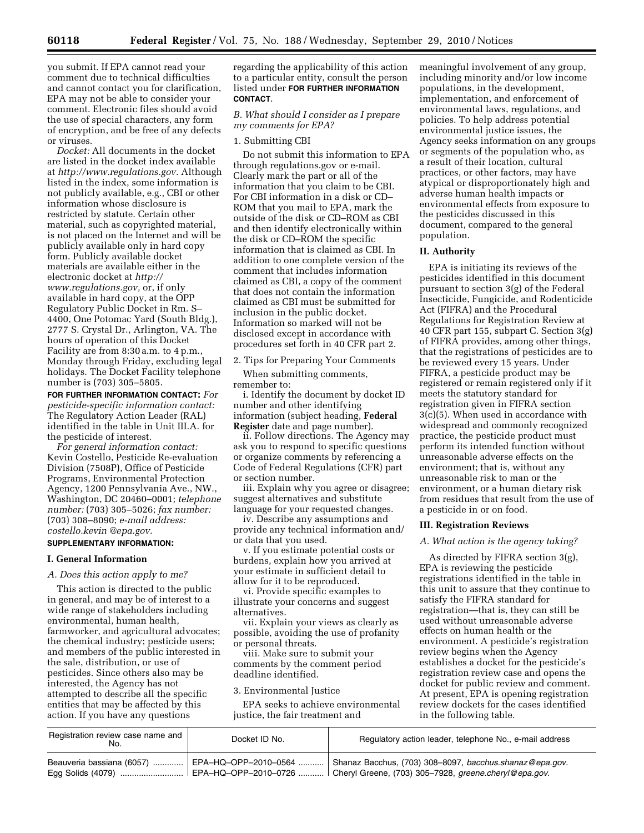you submit. If EPA cannot read your comment due to technical difficulties and cannot contact you for clarification, EPA may not be able to consider your comment. Electronic files should avoid the use of special characters, any form of encryption, and be free of any defects or viruses.

*Docket:* All documents in the docket are listed in the docket index available at *[http://www.regulations.gov.](http://www.regulations.gov)* Although listed in the index, some information is not publicly available, e.g., CBI or other information whose disclosure is restricted by statute. Certain other material, such as copyrighted material, is not placed on the Internet and will be publicly available only in hard copy form. Publicly available docket materials are available either in the electronic docket at *[http://](http://www.regulations.gov)  [www.regulations.gov,](http://www.regulations.gov)* or, if only available in hard copy, at the OPP Regulatory Public Docket in Rm. S– 4400, One Potomac Yard (South Bldg.), 2777 S. Crystal Dr., Arlington, VA. The hours of operation of this Docket Facility are from 8:30 a.m. to 4 p.m., Monday through Friday, excluding legal holidays. The Docket Facility telephone number is (703) 305–5805.

**FOR FURTHER INFORMATION CONTACT:** *For pesticide-specific information contact:*  The Regulatory Action Leader (RAL) identified in the table in Unit III.A. for the pesticide of interest.

*For general information contact:*  Kevin Costello, Pesticide Re-evaluation Division (7508P), Office of Pesticide Programs, Environmental Protection Agency, 1200 Pennsylvania Ave., NW., Washington, DC 20460–0001; *telephone number:* (703) 305–5026; *fax number:*  (703) 308–8090; *e-mail address: [costello.kevin @epa.gov.](mailto:costello.kevin@epa.gov)* 

## **SUPPLEMENTARY INFORMATION:**

### **I. General Information**

*A. Does this action apply to me?* 

This action is directed to the public in general, and may be of interest to a wide range of stakeholders including environmental, human health, farmworker, and agricultural advocates; the chemical industry; pesticide users; and members of the public interested in the sale, distribution, or use of pesticides. Since others also may be interested, the Agency has not attempted to describe all the specific entities that may be affected by this action. If you have any questions

regarding the applicability of this action to a particular entity, consult the person listed under **FOR FURTHER INFORMATION CONTACT**.

# *B. What should I consider as I prepare my comments for EPA?*

### 1. Submitting CBI

Do not submit this information to EPA through regulations.gov or e-mail. Clearly mark the part or all of the information that you claim to be CBI. For CBI information in a disk or CD– ROM that you mail to EPA, mark the outside of the disk or CD–ROM as CBI and then identify electronically within the disk or CD–ROM the specific information that is claimed as CBI. In addition to one complete version of the comment that includes information claimed as CBI, a copy of the comment that does not contain the information claimed as CBI must be submitted for inclusion in the public docket. Information so marked will not be disclosed except in accordance with procedures set forth in 40 CFR part 2.

2. Tips for Preparing Your Comments

When submitting comments, remember to:

i. Identify the document by docket ID number and other identifying information (subject heading, **Federal Register** date and page number).

ii. Follow directions. The Agency may ask you to respond to specific questions or organize comments by referencing a Code of Federal Regulations (CFR) part or section number.

iii. Explain why you agree or disagree; suggest alternatives and substitute language for your requested changes.

iv. Describe any assumptions and provide any technical information and/ or data that you used.

v. If you estimate potential costs or burdens, explain how you arrived at your estimate in sufficient detail to allow for it to be reproduced.

vi. Provide specific examples to illustrate your concerns and suggest alternatives.

vii. Explain your views as clearly as possible, avoiding the use of profanity or personal threats.

viii. Make sure to submit your comments by the comment period deadline identified.

#### 3. Environmental Justice

EPA seeks to achieve environmental justice, the fair treatment and

meaningful involvement of any group, including minority and/or low income populations, in the development, implementation, and enforcement of environmental laws, regulations, and policies. To help address potential environmental justice issues, the Agency seeks information on any groups or segments of the population who, as a result of their location, cultural practices, or other factors, may have atypical or disproportionately high and adverse human health impacts or environmental effects from exposure to the pesticides discussed in this document, compared to the general population.

### **II. Authority**

EPA is initiating its reviews of the pesticides identified in this document pursuant to section 3(g) of the Federal Insecticide, Fungicide, and Rodenticide Act (FIFRA) and the Procedural Regulations for Registration Review at 40 CFR part 155, subpart C. Section 3(g) of FIFRA provides, among other things, that the registrations of pesticides are to be reviewed every 15 years. Under FIFRA, a pesticide product may be registered or remain registered only if it meets the statutory standard for registration given in FIFRA section 3(c)(5). When used in accordance with widespread and commonly recognized practice, the pesticide product must perform its intended function without unreasonable adverse effects on the environment; that is, without any unreasonable risk to man or the environment, or a human dietary risk from residues that result from the use of a pesticide in or on food.

### **III. Registration Reviews**

## *A. What action is the agency taking?*

As directed by FIFRA section 3(g), EPA is reviewing the pesticide registrations identified in the table in this unit to assure that they continue to satisfy the FIFRA standard for registration—that is, they can still be used without unreasonable adverse effects on human health or the environment. A pesticide's registration review begins when the Agency establishes a docket for the pesticide's registration review case and opens the docket for public review and comment. At present, EPA is opening registration review dockets for the cases identified in the following table.

| Registration review case name and | Docket ID No. | Regulatory action leader, telephone No., e-mail address                                                                                                                                                                                   |
|-----------------------------------|---------------|-------------------------------------------------------------------------------------------------------------------------------------------------------------------------------------------------------------------------------------------|
|                                   |               | Beauveria bassiana (6057) ………….   EPA–HQ–OPP–2010–0564 ………   Shanaz Bacchus, (703) 308–8097, <i>bacchus.shanaz@epa.qov.</i><br>Egg Solids (4079)     EPA–HQ–OPP–2010–0726    Cheryl Greene, (703) 305–7928, <i>greene.cheryl@epa.gov.</i> |